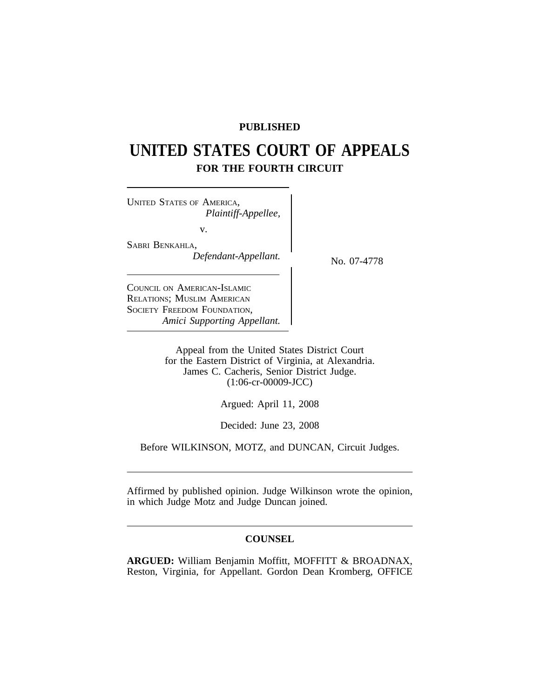# **PUBLISHED**

# **UNITED STATES COURT OF APPEALS FOR THE FOURTH CIRCUIT**

<sup>U</sup>NITED STATES OF AMERICA, *Plaintiff-Appellee,* v. SABRI BENKAHLA,

*Defendant-Appellant.* No. 07-4778

COUNCIL ON AMERICAN-ISLAMIC RELATIONS; MUSLIM AMERICAN SOCIETY FREEDOM FOUNDATION, *Amici Supporting Appellant.*

> Appeal from the United States District Court for the Eastern District of Virginia, at Alexandria. James C. Cacheris, Senior District Judge. (1:06-cr-00009-JCC)

> > Argued: April 11, 2008

Decided: June 23, 2008

Before WILKINSON, MOTZ, and DUNCAN, Circuit Judges.

Affirmed by published opinion. Judge Wilkinson wrote the opinion, in which Judge Motz and Judge Duncan joined.

### **COUNSEL**

**ARGUED:** William Benjamin Moffitt, MOFFITT & BROADNAX, Reston, Virginia, for Appellant. Gordon Dean Kromberg, OFFICE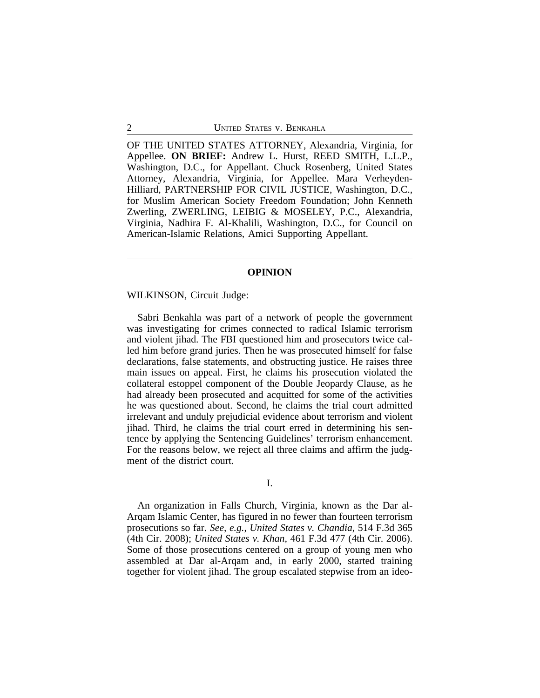OF THE UNITED STATES ATTORNEY, Alexandria, Virginia, for Appellee. **ON BRIEF:** Andrew L. Hurst, REED SMITH, L.L.P., Washington, D.C., for Appellant. Chuck Rosenberg, United States Attorney, Alexandria, Virginia, for Appellee. Mara Verheyden-Hilliard, PARTNERSHIP FOR CIVIL JUSTICE, Washington, D.C., for Muslim American Society Freedom Foundation; John Kenneth Zwerling, ZWERLING, LEIBIG & MOSELEY, P.C., Alexandria, Virginia, Nadhira F. Al-Khalili, Washington, D.C., for Council on American-Islamic Relations, Amici Supporting Appellant.

#### **OPINION**

#### WILKINSON, Circuit Judge:

Sabri Benkahla was part of a network of people the government was investigating for crimes connected to radical Islamic terrorism and violent jihad. The FBI questioned him and prosecutors twice called him before grand juries. Then he was prosecuted himself for false declarations, false statements, and obstructing justice. He raises three main issues on appeal. First, he claims his prosecution violated the collateral estoppel component of the Double Jeopardy Clause, as he had already been prosecuted and acquitted for some of the activities he was questioned about. Second, he claims the trial court admitted irrelevant and unduly prejudicial evidence about terrorism and violent jihad. Third, he claims the trial court erred in determining his sentence by applying the Sentencing Guidelines' terrorism enhancement. For the reasons below, we reject all three claims and affirm the judgment of the district court.

#### I.

An organization in Falls Church, Virginia, known as the Dar al-Arqam Islamic Center, has figured in no fewer than fourteen terrorism prosecutions so far. *See, e.g.*, *United States v. Chandia*, 514 F.3d 365 (4th Cir. 2008); *United States v. Khan*, 461 F.3d 477 (4th Cir. 2006). Some of those prosecutions centered on a group of young men who assembled at Dar al-Arqam and, in early 2000, started training together for violent jihad. The group escalated stepwise from an ideo-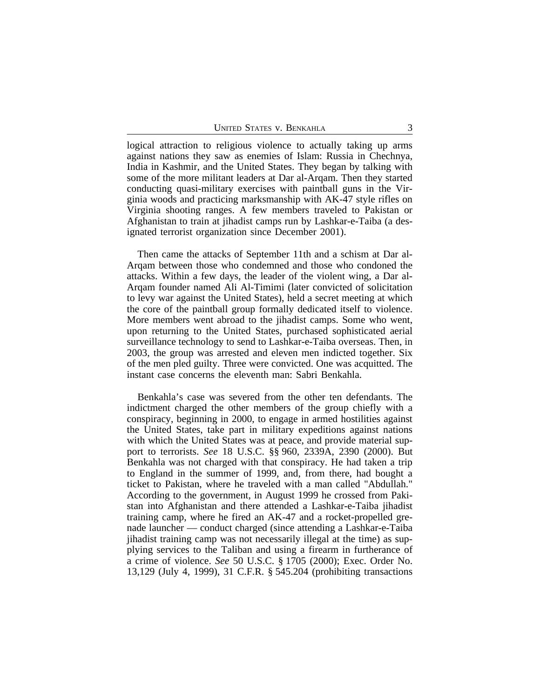logical attraction to religious violence to actually taking up arms against nations they saw as enemies of Islam: Russia in Chechnya, India in Kashmir, and the United States. They began by talking with some of the more militant leaders at Dar al-Arqam. Then they started conducting quasi-military exercises with paintball guns in the Virginia woods and practicing marksmanship with AK-47 style rifles on Virginia shooting ranges. A few members traveled to Pakistan or Afghanistan to train at jihadist camps run by Lashkar-e-Taiba (a designated terrorist organization since December 2001).

Then came the attacks of September 11th and a schism at Dar al-Arqam between those who condemned and those who condoned the attacks. Within a few days, the leader of the violent wing, a Dar al-Arqam founder named Ali Al-Timimi (later convicted of solicitation to levy war against the United States), held a secret meeting at which the core of the paintball group formally dedicated itself to violence. More members went abroad to the jihadist camps. Some who went, upon returning to the United States, purchased sophisticated aerial surveillance technology to send to Lashkar-e-Taiba overseas. Then, in 2003, the group was arrested and eleven men indicted together. Six of the men pled guilty. Three were convicted. One was acquitted. The instant case concerns the eleventh man: Sabri Benkahla.

Benkahla's case was severed from the other ten defendants. The indictment charged the other members of the group chiefly with a conspiracy, beginning in 2000, to engage in armed hostilities against the United States, take part in military expeditions against nations with which the United States was at peace, and provide material support to terrorists. *See* 18 U.S.C. §§ 960, 2339A, 2390 (2000). But Benkahla was not charged with that conspiracy. He had taken a trip to England in the summer of 1999, and, from there, had bought a ticket to Pakistan, where he traveled with a man called "Abdullah." According to the government, in August 1999 he crossed from Pakistan into Afghanistan and there attended a Lashkar-e-Taiba jihadist training camp, where he fired an AK-47 and a rocket-propelled grenade launcher — conduct charged (since attending a Lashkar-e-Taiba jihadist training camp was not necessarily illegal at the time) as supplying services to the Taliban and using a firearm in furtherance of a crime of violence. *See* 50 U.S.C. § 1705 (2000); Exec. Order No. 13,129 (July 4, 1999), 31 C.F.R. § 545.204 (prohibiting transactions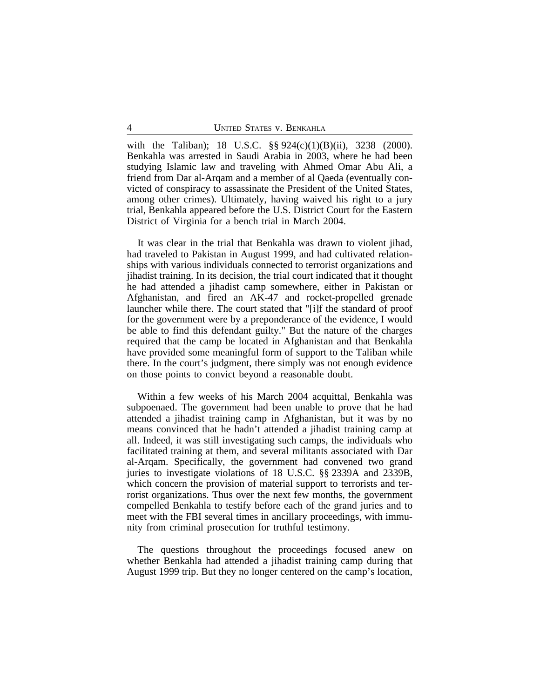with the Taliban); 18 U.S.C. §§ 924(c)(1)(B)(ii), 3238 (2000). Benkahla was arrested in Saudi Arabia in 2003, where he had been studying Islamic law and traveling with Ahmed Omar Abu Ali, a friend from Dar al-Arqam and a member of al Qaeda (eventually convicted of conspiracy to assassinate the President of the United States, among other crimes). Ultimately, having waived his right to a jury trial, Benkahla appeared before the U.S. District Court for the Eastern District of Virginia for a bench trial in March 2004.

It was clear in the trial that Benkahla was drawn to violent jihad, had traveled to Pakistan in August 1999, and had cultivated relationships with various individuals connected to terrorist organizations and jihadist training. In its decision, the trial court indicated that it thought he had attended a jihadist camp somewhere, either in Pakistan or Afghanistan, and fired an AK-47 and rocket-propelled grenade launcher while there. The court stated that "[i]f the standard of proof for the government were by a preponderance of the evidence, I would be able to find this defendant guilty." But the nature of the charges required that the camp be located in Afghanistan and that Benkahla have provided some meaningful form of support to the Taliban while there. In the court's judgment, there simply was not enough evidence on those points to convict beyond a reasonable doubt.

Within a few weeks of his March 2004 acquittal, Benkahla was subpoenaed. The government had been unable to prove that he had attended a jihadist training camp in Afghanistan, but it was by no means convinced that he hadn't attended a jihadist training camp at all. Indeed, it was still investigating such camps, the individuals who facilitated training at them, and several militants associated with Dar al-Arqam. Specifically, the government had convened two grand juries to investigate violations of 18 U.S.C. §§ 2339A and 2339B, which concern the provision of material support to terrorists and terrorist organizations. Thus over the next few months, the government compelled Benkahla to testify before each of the grand juries and to meet with the FBI several times in ancillary proceedings, with immunity from criminal prosecution for truthful testimony.

The questions throughout the proceedings focused anew on whether Benkahla had attended a jihadist training camp during that August 1999 trip. But they no longer centered on the camp's location,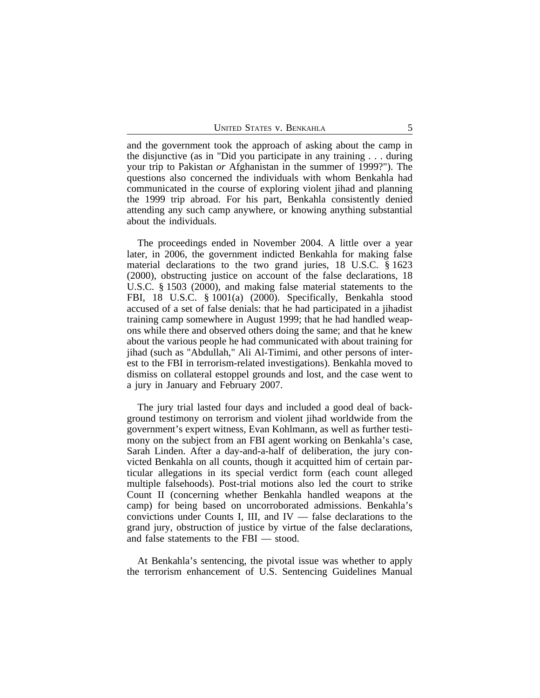and the government took the approach of asking about the camp in the disjunctive (as in "Did you participate in any training . . . during your trip to Pakistan *or* Afghanistan in the summer of 1999?"). The questions also concerned the individuals with whom Benkahla had communicated in the course of exploring violent jihad and planning the 1999 trip abroad. For his part, Benkahla consistently denied attending any such camp anywhere, or knowing anything substantial about the individuals.

The proceedings ended in November 2004. A little over a year later, in 2006, the government indicted Benkahla for making false material declarations to the two grand juries, 18 U.S.C. § 1623 (2000), obstructing justice on account of the false declarations, 18 U.S.C. § 1503 (2000), and making false material statements to the FBI, 18 U.S.C. § 1001(a) (2000). Specifically, Benkahla stood accused of a set of false denials: that he had participated in a jihadist training camp somewhere in August 1999; that he had handled weapons while there and observed others doing the same; and that he knew about the various people he had communicated with about training for jihad (such as "Abdullah," Ali Al-Timimi, and other persons of interest to the FBI in terrorism-related investigations). Benkahla moved to dismiss on collateral estoppel grounds and lost, and the case went to a jury in January and February 2007.

The jury trial lasted four days and included a good deal of background testimony on terrorism and violent jihad worldwide from the government's expert witness, Evan Kohlmann, as well as further testimony on the subject from an FBI agent working on Benkahla's case, Sarah Linden. After a day-and-a-half of deliberation, the jury convicted Benkahla on all counts, though it acquitted him of certain particular allegations in its special verdict form (each count alleged multiple falsehoods). Post-trial motions also led the court to strike Count II (concerning whether Benkahla handled weapons at the camp) for being based on uncorroborated admissions. Benkahla's convictions under Counts I, III, and IV — false declarations to the grand jury, obstruction of justice by virtue of the false declarations, and false statements to the FBI — stood.

At Benkahla's sentencing, the pivotal issue was whether to apply the terrorism enhancement of U.S. Sentencing Guidelines Manual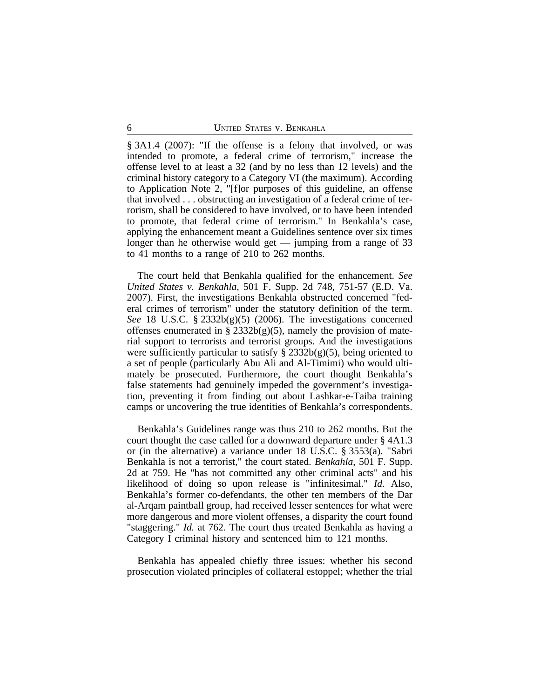§ 3A1.4 (2007): "If the offense is a felony that involved, or was intended to promote, a federal crime of terrorism," increase the offense level to at least a 32 (and by no less than 12 levels) and the criminal history category to a Category VI (the maximum). According to Application Note 2, "[f]or purposes of this guideline, an offense that involved . . . obstructing an investigation of a federal crime of terrorism, shall be considered to have involved, or to have been intended to promote, that federal crime of terrorism." In Benkahla's case, applying the enhancement meant a Guidelines sentence over six times longer than he otherwise would get — jumping from a range of 33 to 41 months to a range of 210 to 262 months.

The court held that Benkahla qualified for the enhancement. *See United States v. Benkahla*, 501 F. Supp. 2d 748, 751-57 (E.D. Va. 2007). First, the investigations Benkahla obstructed concerned "federal crimes of terrorism" under the statutory definition of the term. *See* 18 U.S.C. § 2332b(g)(5) (2006). The investigations concerned offenses enumerated in §  $2332b(g)(5)$ , namely the provision of material support to terrorists and terrorist groups. And the investigations were sufficiently particular to satisfy  $\S 2332b(g)(5)$ , being oriented to a set of people (particularly Abu Ali and Al-Timimi) who would ultimately be prosecuted. Furthermore, the court thought Benkahla's false statements had genuinely impeded the government's investigation, preventing it from finding out about Lashkar-e-Taiba training camps or uncovering the true identities of Benkahla's correspondents.

Benkahla's Guidelines range was thus 210 to 262 months. But the court thought the case called for a downward departure under § 4A1.3 or (in the alternative) a variance under 18 U.S.C. § 3553(a). "Sabri Benkahla is not a terrorist," the court stated. *Benkahla*, 501 F. Supp. 2d at 759. He "has not committed any other criminal acts" and his likelihood of doing so upon release is "infinitesimal." *Id.* Also, Benkahla's former co-defendants, the other ten members of the Dar al-Arqam paintball group, had received lesser sentences for what were more dangerous and more violent offenses, a disparity the court found "staggering." *Id.* at 762. The court thus treated Benkahla as having a Category I criminal history and sentenced him to 121 months.

Benkahla has appealed chiefly three issues: whether his second prosecution violated principles of collateral estoppel; whether the trial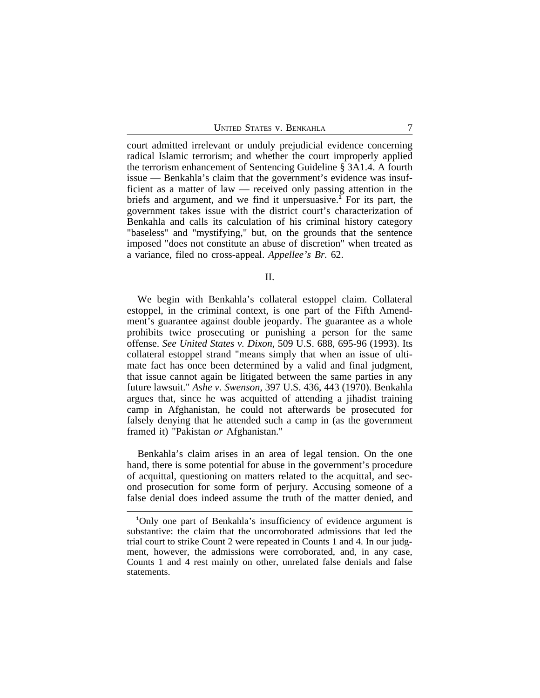court admitted irrelevant or unduly prejudicial evidence concerning radical Islamic terrorism; and whether the court improperly applied the terrorism enhancement of Sentencing Guideline § 3A1.4. A fourth issue — Benkahla's claim that the government's evidence was insufficient as a matter of law — received only passing attention in the briefs and argument, and we find it unpersuasive.**<sup>1</sup>** For its part, the government takes issue with the district court's characterization of Benkahla and calls its calculation of his criminal history category "baseless" and "mystifying," but, on the grounds that the sentence imposed "does not constitute an abuse of discretion" when treated as a variance, filed no cross-appeal. *Appellee's Br.* 62.

II.

We begin with Benkahla's collateral estoppel claim. Collateral estoppel, in the criminal context, is one part of the Fifth Amendment's guarantee against double jeopardy. The guarantee as a whole prohibits twice prosecuting or punishing a person for the same offense. *See United States v. Dixon*, 509 U.S. 688, 695-96 (1993). Its collateral estoppel strand "means simply that when an issue of ultimate fact has once been determined by a valid and final judgment, that issue cannot again be litigated between the same parties in any future lawsuit." *Ashe v. Swenson*, 397 U.S. 436, 443 (1970). Benkahla argues that, since he was acquitted of attending a jihadist training camp in Afghanistan, he could not afterwards be prosecuted for falsely denying that he attended such a camp in (as the government framed it) "Pakistan *or* Afghanistan."

Benkahla's claim arises in an area of legal tension. On the one hand, there is some potential for abuse in the government's procedure of acquittal, questioning on matters related to the acquittal, and second prosecution for some form of perjury. Accusing someone of a false denial does indeed assume the truth of the matter denied, and

**<sup>1</sup>**Only one part of Benkahla's insufficiency of evidence argument is substantive: the claim that the uncorroborated admissions that led the trial court to strike Count 2 were repeated in Counts 1 and 4. In our judgment, however, the admissions were corroborated, and, in any case, Counts 1 and 4 rest mainly on other, unrelated false denials and false statements.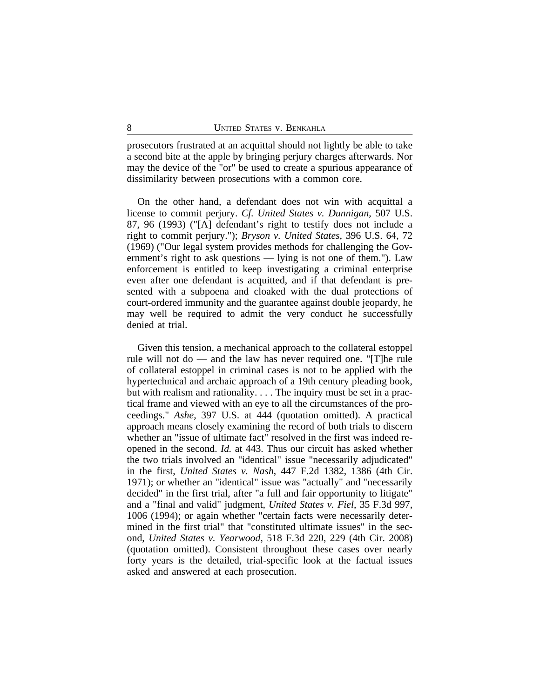prosecutors frustrated at an acquittal should not lightly be able to take a second bite at the apple by bringing perjury charges afterwards. Nor may the device of the "or" be used to create a spurious appearance of dissimilarity between prosecutions with a common core.

On the other hand, a defendant does not win with acquittal a license to commit perjury. *Cf. United States v. Dunnigan*, 507 U.S. 87, 96 (1993) ("[A] defendant's right to testify does not include a right to commit perjury."); *Bryson v. United States*, 396 U.S. 64, 72 (1969) ("Our legal system provides methods for challenging the Government's right to ask questions — lying is not one of them."). Law enforcement is entitled to keep investigating a criminal enterprise even after one defendant is acquitted, and if that defendant is presented with a subpoena and cloaked with the dual protections of court-ordered immunity and the guarantee against double jeopardy, he may well be required to admit the very conduct he successfully denied at trial.

Given this tension, a mechanical approach to the collateral estoppel rule will not do — and the law has never required one. "[T]he rule of collateral estoppel in criminal cases is not to be applied with the hypertechnical and archaic approach of a 19th century pleading book, but with realism and rationality. . . . The inquiry must be set in a practical frame and viewed with an eye to all the circumstances of the proceedings." *Ashe*, 397 U.S. at 444 (quotation omitted). A practical approach means closely examining the record of both trials to discern whether an "issue of ultimate fact" resolved in the first was indeed reopened in the second. *Id.* at 443. Thus our circuit has asked whether the two trials involved an "identical" issue "necessarily adjudicated" in the first, *United States v. Nash*, 447 F.2d 1382, 1386 (4th Cir. 1971); or whether an "identical" issue was "actually" and "necessarily decided" in the first trial, after "a full and fair opportunity to litigate" and a "final and valid" judgment, *United States v. Fiel*, 35 F.3d 997, 1006 (1994); or again whether "certain facts were necessarily determined in the first trial" that "constituted ultimate issues" in the second, *United States v. Yearwood*, 518 F.3d 220, 229 (4th Cir. 2008) (quotation omitted). Consistent throughout these cases over nearly forty years is the detailed, trial-specific look at the factual issues asked and answered at each prosecution.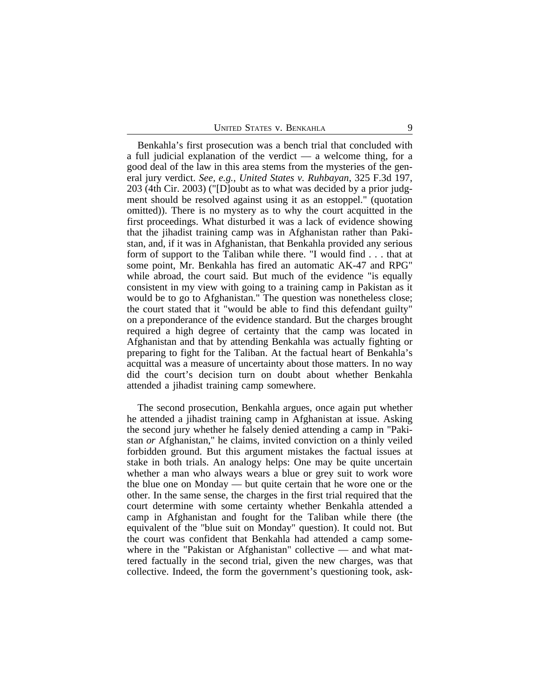Benkahla's first prosecution was a bench trial that concluded with a full judicial explanation of the verdict — a welcome thing, for a good deal of the law in this area stems from the mysteries of the general jury verdict. *See, e.g.*, *United States v. Ruhbayan*, 325 F.3d 197, 203 (4th Cir. 2003) ("[D]oubt as to what was decided by a prior judgment should be resolved against using it as an estoppel." (quotation omitted)). There is no mystery as to why the court acquitted in the first proceedings. What disturbed it was a lack of evidence showing that the jihadist training camp was in Afghanistan rather than Pakistan, and, if it was in Afghanistan, that Benkahla provided any serious form of support to the Taliban while there. "I would find . . . that at some point, Mr. Benkahla has fired an automatic AK-47 and RPG" while abroad, the court said. But much of the evidence "is equally consistent in my view with going to a training camp in Pakistan as it would be to go to Afghanistan." The question was nonetheless close; the court stated that it "would be able to find this defendant guilty" on a preponderance of the evidence standard. But the charges brought required a high degree of certainty that the camp was located in Afghanistan and that by attending Benkahla was actually fighting or preparing to fight for the Taliban. At the factual heart of Benkahla's acquittal was a measure of uncertainty about those matters. In no way did the court's decision turn on doubt about whether Benkahla attended a jihadist training camp somewhere.

The second prosecution, Benkahla argues, once again put whether he attended a jihadist training camp in Afghanistan at issue. Asking the second jury whether he falsely denied attending a camp in "Pakistan *or* Afghanistan," he claims, invited conviction on a thinly veiled forbidden ground. But this argument mistakes the factual issues at stake in both trials. An analogy helps: One may be quite uncertain whether a man who always wears a blue or grey suit to work wore the blue one on Monday — but quite certain that he wore one or the other. In the same sense, the charges in the first trial required that the court determine with some certainty whether Benkahla attended a camp in Afghanistan and fought for the Taliban while there (the equivalent of the "blue suit on Monday" question). It could not. But the court was confident that Benkahla had attended a camp somewhere in the "Pakistan or Afghanistan" collective — and what mattered factually in the second trial, given the new charges, was that collective. Indeed, the form the government's questioning took, ask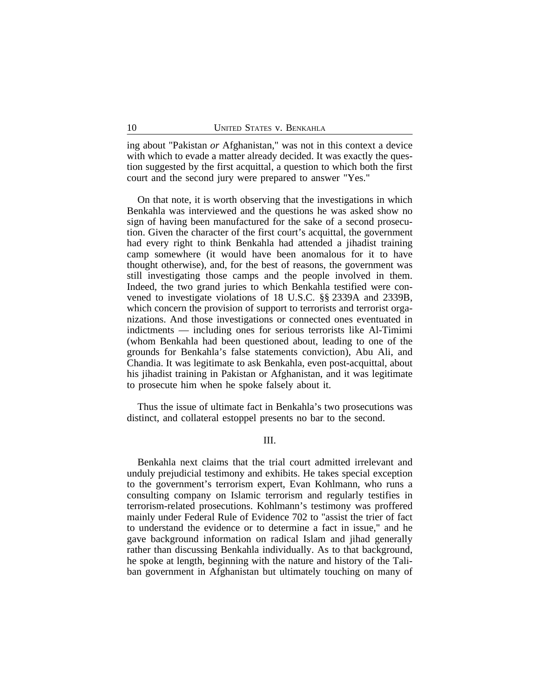ing about "Pakistan *or* Afghanistan," was not in this context a device with which to evade a matter already decided. It was exactly the question suggested by the first acquittal, a question to which both the first court and the second jury were prepared to answer "Yes."

On that note, it is worth observing that the investigations in which Benkahla was interviewed and the questions he was asked show no sign of having been manufactured for the sake of a second prosecution. Given the character of the first court's acquittal, the government had every right to think Benkahla had attended a jihadist training camp somewhere (it would have been anomalous for it to have thought otherwise), and, for the best of reasons, the government was still investigating those camps and the people involved in them. Indeed, the two grand juries to which Benkahla testified were convened to investigate violations of 18 U.S.C. §§ 2339A and 2339B, which concern the provision of support to terrorists and terrorist organizations. And those investigations or connected ones eventuated in indictments — including ones for serious terrorists like Al-Timimi (whom Benkahla had been questioned about, leading to one of the grounds for Benkahla's false statements conviction), Abu Ali, and Chandia. It was legitimate to ask Benkahla, even post-acquittal, about his jihadist training in Pakistan or Afghanistan, and it was legitimate to prosecute him when he spoke falsely about it.

Thus the issue of ultimate fact in Benkahla's two prosecutions was distinct, and collateral estoppel presents no bar to the second.

III.

Benkahla next claims that the trial court admitted irrelevant and unduly prejudicial testimony and exhibits. He takes special exception to the government's terrorism expert, Evan Kohlmann, who runs a consulting company on Islamic terrorism and regularly testifies in terrorism-related prosecutions. Kohlmann's testimony was proffered mainly under Federal Rule of Evidence 702 to "assist the trier of fact to understand the evidence or to determine a fact in issue," and he gave background information on radical Islam and jihad generally rather than discussing Benkahla individually. As to that background, he spoke at length, beginning with the nature and history of the Taliban government in Afghanistan but ultimately touching on many of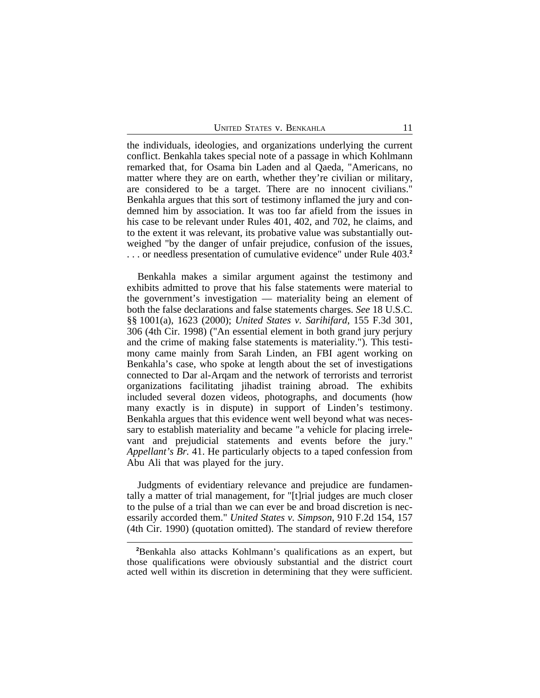the individuals, ideologies, and organizations underlying the current conflict. Benkahla takes special note of a passage in which Kohlmann remarked that, for Osama bin Laden and al Qaeda, "Americans, no matter where they are on earth, whether they're civilian or military, are considered to be a target. There are no innocent civilians." Benkahla argues that this sort of testimony inflamed the jury and condemned him by association. It was too far afield from the issues in his case to be relevant under Rules 401, 402, and 702, he claims, and to the extent it was relevant, its probative value was substantially outweighed "by the danger of unfair prejudice, confusion of the issues, . . . or needless presentation of cumulative evidence" under Rule 403.**<sup>2</sup>**

Benkahla makes a similar argument against the testimony and exhibits admitted to prove that his false statements were material to the government's investigation — materiality being an element of both the false declarations and false statements charges. *See* 18 U.S.C. §§ 1001(a), 1623 (2000); *United States v. Sarihifard*, 155 F.3d 301, 306 (4th Cir. 1998) ("An essential element in both grand jury perjury and the crime of making false statements is materiality."). This testimony came mainly from Sarah Linden, an FBI agent working on Benkahla's case, who spoke at length about the set of investigations connected to Dar al-Arqam and the network of terrorists and terrorist organizations facilitating jihadist training abroad. The exhibits included several dozen videos, photographs, and documents (how many exactly is in dispute) in support of Linden's testimony. Benkahla argues that this evidence went well beyond what was necessary to establish materiality and became "a vehicle for placing irrelevant and prejudicial statements and events before the jury." *Appellant's Br.* 41. He particularly objects to a taped confession from Abu Ali that was played for the jury.

Judgments of evidentiary relevance and prejudice are fundamentally a matter of trial management, for "[t]rial judges are much closer to the pulse of a trial than we can ever be and broad discretion is necessarily accorded them." *United States v. Simpson*, 910 F.2d 154, 157 (4th Cir. 1990) (quotation omitted). The standard of review therefore

**<sup>2</sup>**Benkahla also attacks Kohlmann's qualifications as an expert, but those qualifications were obviously substantial and the district court acted well within its discretion in determining that they were sufficient.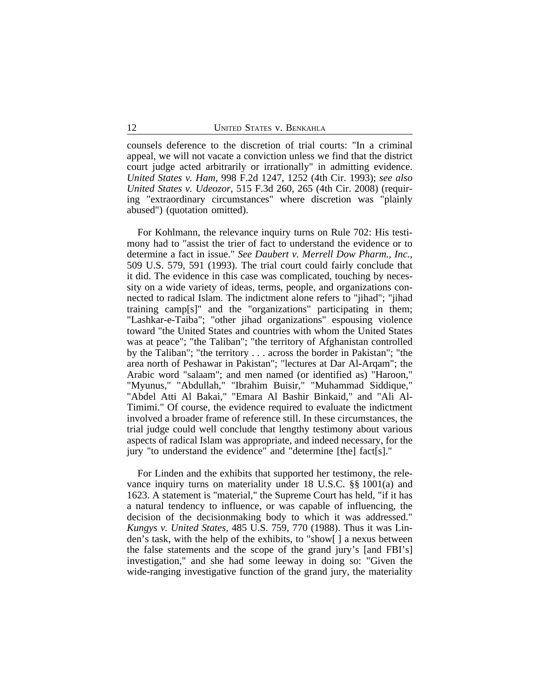counsels deference to the discretion of trial courts: "In a criminal appeal, we will not vacate a conviction unless we find that the district court judge acted arbitrarily or irrationally" in admitting evidence. *United States v. Ham*, 998 F.2d 1247, 1252 (4th Cir. 1993); *see also United States v. Udeozor*, 515 F.3d 260, 265 (4th Cir. 2008) (requiring "extraordinary circumstances" where discretion was "plainly abused") (quotation omitted).

For Kohlmann, the relevance inquiry turns on Rule 702: His testimony had to "assist the trier of fact to understand the evidence or to determine a fact in issue." *See Daubert v. Merrell Dow Pharm., Inc.*, 509 U.S. 579, 591 (1993). The trial court could fairly conclude that it did. The evidence in this case was complicated, touching by necessity on a wide variety of ideas, terms, people, and organizations connected to radical Islam. The indictment alone refers to "jihad"; "jihad training camp[s]" and the "organizations" participating in them; "Lashkar-e-Taiba"; "other jihad organizations" espousing violence toward "the United States and countries with whom the United States was at peace"; "the Taliban"; "the territory of Afghanistan controlled by the Taliban"; "the territory . . . across the border in Pakistan"; "the area north of Peshawar in Pakistan"; "lectures at Dar Al-Arqam"; the Arabic word "salaam"; and men named (or identified as) "Haroon," "Myunus," "Abdullah," "Ibrahim Buisir," "Muhammad Siddique," "Abdel Atti Al Bakai," "Emara Al Bashir Binkaid," and "Ali Al-Timimi." Of course, the evidence required to evaluate the indictment involved a broader frame of reference still. In these circumstances, the trial judge could well conclude that lengthy testimony about various aspects of radical Islam was appropriate, and indeed necessary, for the jury "to understand the evidence" and "determine [the] fact[s]."

For Linden and the exhibits that supported her testimony, the relevance inquiry turns on materiality under 18 U.S.C. §§ 1001(a) and 1623. A statement is "material," the Supreme Court has held, "if it has a natural tendency to influence, or was capable of influencing, the decision of the decisionmaking body to which it was addressed." *Kungys v. United States*, 485 U.S. 759, 770 (1988). Thus it was Linden's task, with the help of the exhibits, to "show[ ] a nexus between the false statements and the scope of the grand jury's [and FBI's] investigation," and she had some leeway in doing so: "Given the wide-ranging investigative function of the grand jury, the materiality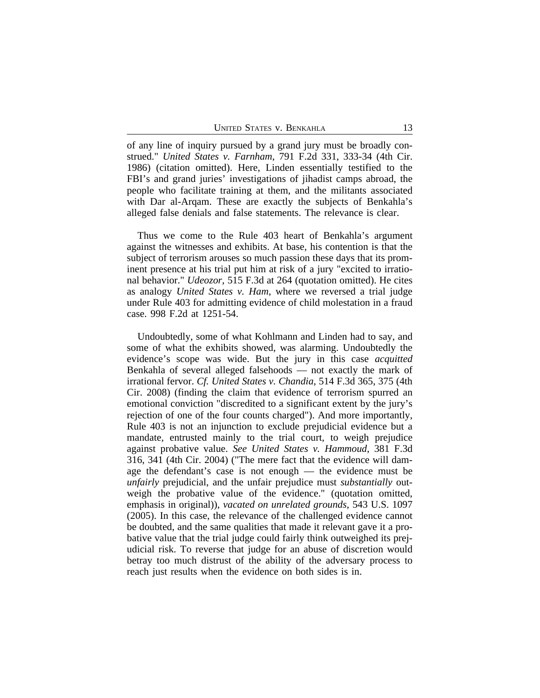of any line of inquiry pursued by a grand jury must be broadly construed." *United States v. Farnham*, 791 F.2d 331, 333-34 (4th Cir. 1986) (citation omitted). Here, Linden essentially testified to the FBI's and grand juries' investigations of jihadist camps abroad, the people who facilitate training at them, and the militants associated with Dar al-Arqam. These are exactly the subjects of Benkahla's alleged false denials and false statements. The relevance is clear.

Thus we come to the Rule 403 heart of Benkahla's argument against the witnesses and exhibits. At base, his contention is that the subject of terrorism arouses so much passion these days that its prominent presence at his trial put him at risk of a jury "excited to irrational behavior." *Udeozor*, 515 F.3d at 264 (quotation omitted). He cites as analogy *United States v. Ham*, where we reversed a trial judge under Rule 403 for admitting evidence of child molestation in a fraud case. 998 F.2d at 1251-54.

Undoubtedly, some of what Kohlmann and Linden had to say, and some of what the exhibits showed, was alarming. Undoubtedly the evidence's scope was wide. But the jury in this case *acquitted* Benkahla of several alleged falsehoods — not exactly the mark of irrational fervor. *Cf. United States v. Chandia*, 514 F.3d 365, 375 (4th Cir. 2008) (finding the claim that evidence of terrorism spurred an emotional conviction "discredited to a significant extent by the jury's rejection of one of the four counts charged"). And more importantly, Rule 403 is not an injunction to exclude prejudicial evidence but a mandate, entrusted mainly to the trial court, to weigh prejudice against probative value. *See United States v. Hammoud*, 381 F.3d 316, 341 (4th Cir. 2004) ("The mere fact that the evidence will damage the defendant's case is not enough — the evidence must be *unfairly* prejudicial, and the unfair prejudice must *substantially* outweigh the probative value of the evidence." (quotation omitted, emphasis in original)), *vacated on unrelated grounds*, 543 U.S. 1097 (2005). In this case, the relevance of the challenged evidence cannot be doubted, and the same qualities that made it relevant gave it a probative value that the trial judge could fairly think outweighed its prejudicial risk. To reverse that judge for an abuse of discretion would betray too much distrust of the ability of the adversary process to reach just results when the evidence on both sides is in.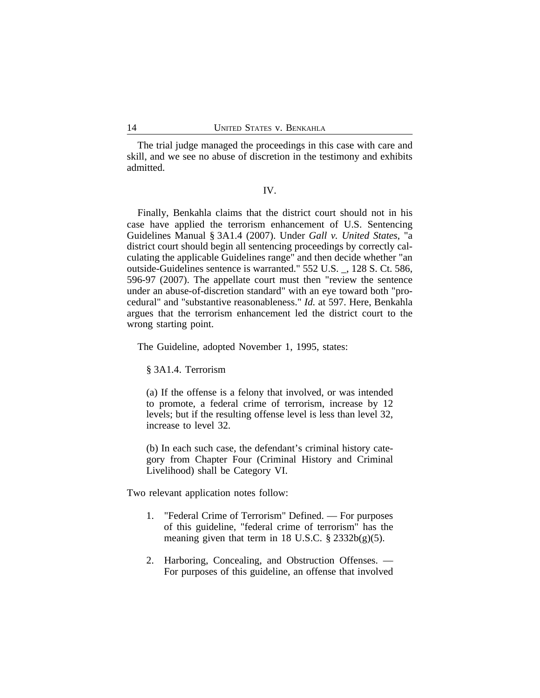The trial judge managed the proceedings in this case with care and skill, and we see no abuse of discretion in the testimony and exhibits admitted.

## IV.

Finally, Benkahla claims that the district court should not in his case have applied the terrorism enhancement of U.S. Sentencing Guidelines Manual § 3A1.4 (2007). Under *Gall v. United States*, "a district court should begin all sentencing proceedings by correctly calculating the applicable Guidelines range" and then decide whether "an outside-Guidelines sentence is warranted." 552 U.S. \_, 128 S. Ct. 586, 596-97 (2007). The appellate court must then "review the sentence under an abuse-of-discretion standard" with an eye toward both "procedural" and "substantive reasonableness." *Id.* at 597. Here, Benkahla argues that the terrorism enhancement led the district court to the wrong starting point.

The Guideline, adopted November 1, 1995, states:

§ 3A1.4. Terrorism

(a) If the offense is a felony that involved, or was intended to promote, a federal crime of terrorism, increase by 12 levels; but if the resulting offense level is less than level 32, increase to level 32.

(b) In each such case, the defendant's criminal history category from Chapter Four (Criminal History and Criminal Livelihood) shall be Category VI.

Two relevant application notes follow:

- 1. "Federal Crime of Terrorism" Defined. For purposes of this guideline, "federal crime of terrorism" has the meaning given that term in 18 U.S.C.  $\S$  2332b(g)(5).
- 2. Harboring, Concealing, and Obstruction Offenses. For purposes of this guideline, an offense that involved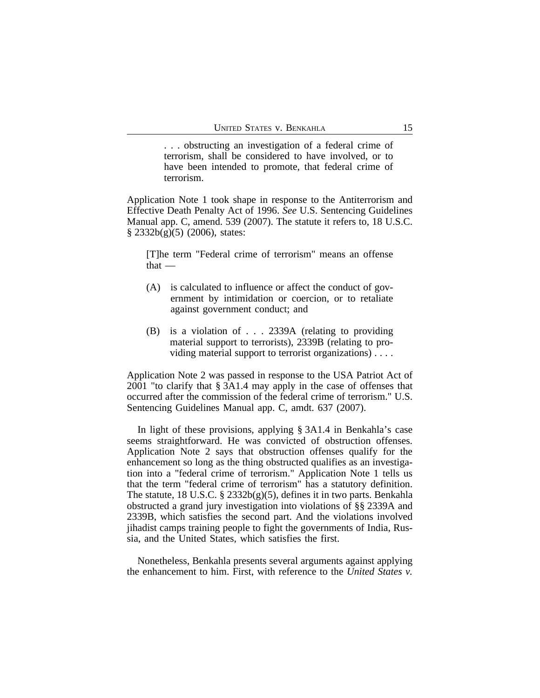. . . obstructing an investigation of a federal crime of terrorism, shall be considered to have involved, or to have been intended to promote, that federal crime of terrorism.

Application Note 1 took shape in response to the Antiterrorism and Effective Death Penalty Act of 1996. *See* U.S. Sentencing Guidelines Manual app. C, amend. 539 (2007). The statute it refers to, 18 U.S.C. § 2332b(g)(5) (2006), states:

[T]he term "Federal crime of terrorism" means an offense that —

- (A) is calculated to influence or affect the conduct of government by intimidation or coercion, or to retaliate against government conduct; and
- (B) is a violation of . . . 2339A (relating to providing material support to terrorists), 2339B (relating to providing material support to terrorist organizations) . . . .

Application Note 2 was passed in response to the USA Patriot Act of 2001 "to clarify that § 3A1.4 may apply in the case of offenses that occurred after the commission of the federal crime of terrorism." U.S. Sentencing Guidelines Manual app. C, amdt. 637 (2007).

In light of these provisions, applying § 3A1.4 in Benkahla's case seems straightforward. He was convicted of obstruction offenses. Application Note 2 says that obstruction offenses qualify for the enhancement so long as the thing obstructed qualifies as an investigation into a "federal crime of terrorism." Application Note 1 tells us that the term "federal crime of terrorism" has a statutory definition. The statute, 18 U.S.C.  $\S$  2332b(g)(5), defines it in two parts. Benkahla obstructed a grand jury investigation into violations of §§ 2339A and 2339B, which satisfies the second part. And the violations involved jihadist camps training people to fight the governments of India, Russia, and the United States, which satisfies the first.

Nonetheless, Benkahla presents several arguments against applying the enhancement to him. First, with reference to the *United States v.*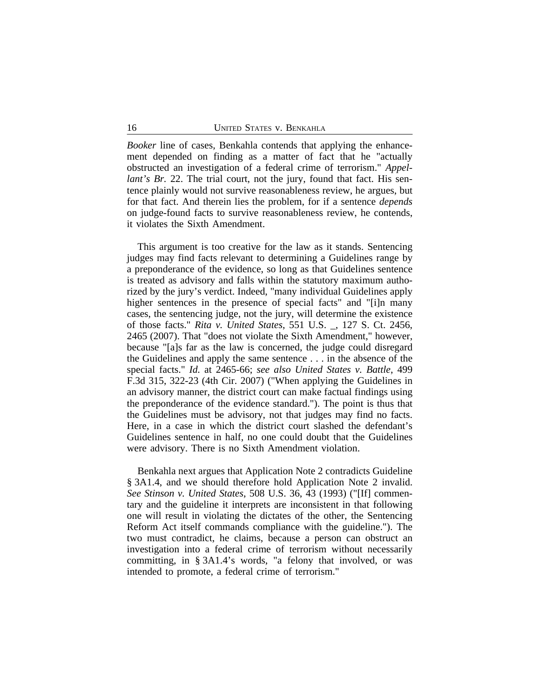*Booker* line of cases, Benkahla contends that applying the enhancement depended on finding as a matter of fact that he "actually obstructed an investigation of a federal crime of terrorism." *Appellant's Br.* 22. The trial court, not the jury, found that fact. His sentence plainly would not survive reasonableness review, he argues, but for that fact. And therein lies the problem, for if a sentence *depends* on judge-found facts to survive reasonableness review, he contends, it violates the Sixth Amendment.

This argument is too creative for the law as it stands. Sentencing judges may find facts relevant to determining a Guidelines range by a preponderance of the evidence, so long as that Guidelines sentence is treated as advisory and falls within the statutory maximum authorized by the jury's verdict. Indeed, "many individual Guidelines apply higher sentences in the presence of special facts" and "[i]n many cases, the sentencing judge, not the jury, will determine the existence of those facts." *Rita v. United States*, 551 U.S. \_, 127 S. Ct. 2456, 2465 (2007). That "does not violate the Sixth Amendment," however, because "[a]s far as the law is concerned, the judge could disregard the Guidelines and apply the same sentence . . . in the absence of the special facts." *Id.* at 2465-66; *see also United States v. Battle*, 499 F.3d 315, 322-23 (4th Cir. 2007) ("When applying the Guidelines in an advisory manner, the district court can make factual findings using the preponderance of the evidence standard."). The point is thus that the Guidelines must be advisory, not that judges may find no facts. Here, in a case in which the district court slashed the defendant's Guidelines sentence in half, no one could doubt that the Guidelines were advisory. There is no Sixth Amendment violation.

Benkahla next argues that Application Note 2 contradicts Guideline § 3A1.4, and we should therefore hold Application Note 2 invalid. *See Stinson v. United States*, 508 U.S. 36, 43 (1993) ("[If] commentary and the guideline it interprets are inconsistent in that following one will result in violating the dictates of the other, the Sentencing Reform Act itself commands compliance with the guideline."). The two must contradict, he claims, because a person can obstruct an investigation into a federal crime of terrorism without necessarily committing, in § 3A1.4's words, "a felony that involved, or was intended to promote, a federal crime of terrorism."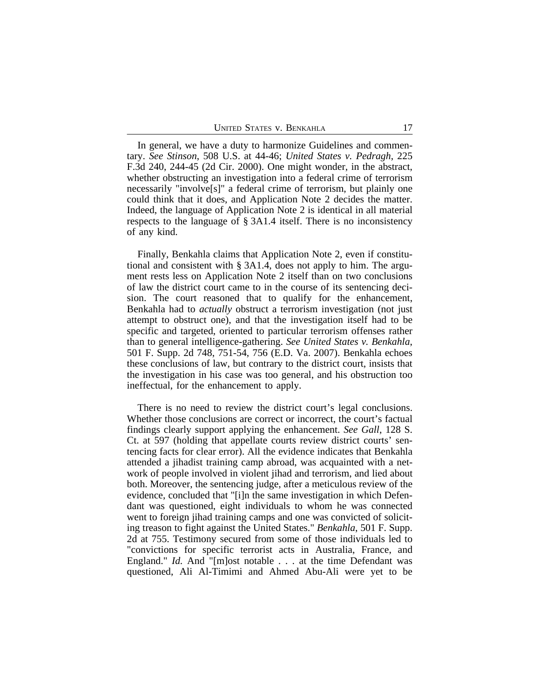In general, we have a duty to harmonize Guidelines and commentary. *See Stinson*, 508 U.S. at 44-46; *United States v. Pedragh*, 225 F.3d 240, 244-45 (2d Cir. 2000). One might wonder, in the abstract, whether obstructing an investigation into a federal crime of terrorism necessarily "involve[s]" a federal crime of terrorism, but plainly one could think that it does, and Application Note 2 decides the matter. Indeed, the language of Application Note 2 is identical in all material respects to the language of § 3A1.4 itself. There is no inconsistency of any kind.

Finally, Benkahla claims that Application Note 2, even if constitutional and consistent with § 3A1.4, does not apply to him. The argument rests less on Application Note 2 itself than on two conclusions of law the district court came to in the course of its sentencing decision. The court reasoned that to qualify for the enhancement, Benkahla had to *actually* obstruct a terrorism investigation (not just attempt to obstruct one), and that the investigation itself had to be specific and targeted, oriented to particular terrorism offenses rather than to general intelligence-gathering. *See United States v. Benkahla*, 501 F. Supp. 2d 748, 751-54, 756 (E.D. Va. 2007). Benkahla echoes these conclusions of law, but contrary to the district court, insists that the investigation in his case was too general, and his obstruction too ineffectual, for the enhancement to apply.

There is no need to review the district court's legal conclusions. Whether those conclusions are correct or incorrect, the court's factual findings clearly support applying the enhancement. *See Gall*, 128 S. Ct. at 597 (holding that appellate courts review district courts' sentencing facts for clear error). All the evidence indicates that Benkahla attended a jihadist training camp abroad, was acquainted with a network of people involved in violent jihad and terrorism, and lied about both. Moreover, the sentencing judge, after a meticulous review of the evidence, concluded that "[i]n the same investigation in which Defendant was questioned, eight individuals to whom he was connected went to foreign jihad training camps and one was convicted of soliciting treason to fight against the United States." *Benkahla*, 501 F. Supp. 2d at 755. Testimony secured from some of those individuals led to "convictions for specific terrorist acts in Australia, France, and England." *Id.* And "[m]ost notable . . . at the time Defendant was questioned, Ali Al-Timimi and Ahmed Abu-Ali were yet to be